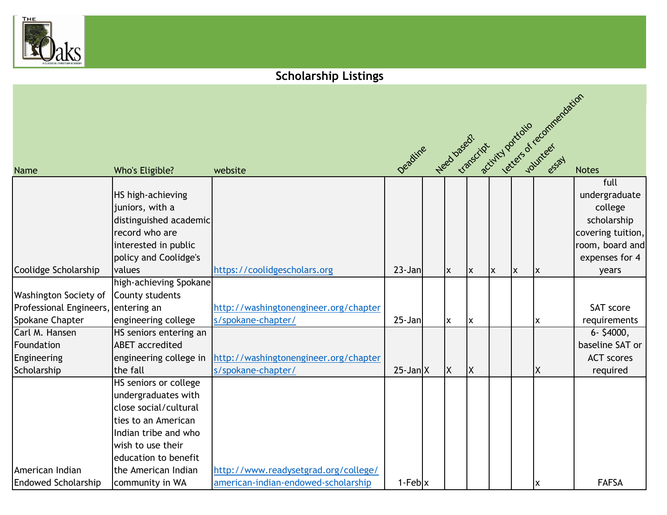

## **Scholarship Listings**

|                                     |                        |                                       |                                        |          |          |   |    | letters of recommendation |                   |
|-------------------------------------|------------------------|---------------------------------------|----------------------------------------|----------|----------|---|----|---------------------------|-------------------|
|                                     |                        |                                       | Deadine Heed based: Critical portfolio |          |          |   |    |                           |                   |
|                                     |                        |                                       |                                        |          |          |   |    |                           |                   |
|                                     |                        |                                       |                                        |          |          |   |    |                           |                   |
| <b>Name</b>                         | Who's Eligible?        | website                               |                                        |          |          |   |    |                           | <b>Notes</b>      |
|                                     |                        |                                       |                                        |          |          |   |    |                           | full              |
|                                     | HS high-achieving      |                                       |                                        |          |          |   |    |                           | undergraduate     |
|                                     | juniors, with a        |                                       |                                        |          |          |   |    |                           | college           |
|                                     | distinguished academic |                                       |                                        |          |          |   |    |                           | scholarship       |
|                                     | record who are         |                                       |                                        |          |          |   |    |                           | covering tuition, |
|                                     | interested in public   |                                       |                                        |          |          |   |    |                           | room, board and   |
|                                     | policy and Coolidge's  |                                       |                                        |          |          |   |    |                           | expenses for 4    |
| Coolidge Scholarship                | values                 | https://coolidgescholars.org          | $23 - Jan$                             | Ix.      | X        | X | ΙX | X                         | years             |
|                                     | high-achieving Spokane |                                       |                                        |          |          |   |    |                           |                   |
| <b>Washington Society of</b>        | County students        |                                       |                                        |          |          |   |    |                           |                   |
| Professional Engineers, entering an |                        | http://washingtonengineer.org/chapter |                                        |          |          |   |    |                           | SAT score         |
| <b>Spokane Chapter</b>              | engineering college    | s/spokane-chapter/                    | $25 - Jan$                             | Ιx       | ΙX       |   |    | X                         | requirements      |
| Carl M. Hansen                      | HS seniors entering an |                                       |                                        |          |          |   |    |                           | $6 - $4000,$      |
| Foundation                          | <b>ABET</b> accredited |                                       |                                        |          |          |   |    |                           | baseline SAT or   |
| Engineering                         | engineering college in | http://washingtonengineer.org/chapter |                                        |          |          |   |    |                           | <b>ACT</b> scores |
| Scholarship                         | the fall               | s/spokane-chapter/                    | $25$ -Jan $X$                          | <b>X</b> | <b>X</b> |   |    | ΙX                        | required          |
|                                     | HS seniors or college  |                                       |                                        |          |          |   |    |                           |                   |
|                                     | undergraduates with    |                                       |                                        |          |          |   |    |                           |                   |
|                                     | close social/cultural  |                                       |                                        |          |          |   |    |                           |                   |
|                                     | ties to an American    |                                       |                                        |          |          |   |    |                           |                   |
|                                     | Indian tribe and who   |                                       |                                        |          |          |   |    |                           |                   |
|                                     | wish to use their      |                                       |                                        |          |          |   |    |                           |                   |
|                                     | education to benefit   |                                       |                                        |          |          |   |    |                           |                   |
| American Indian                     | the American Indian    | http://www.readysetgrad.org/college/  |                                        |          |          |   |    |                           |                   |
| <b>Endowed Scholarship</b>          | community in WA        | american-indian-endowed-scholarship   | $1-Feb$ x                              |          |          |   |    | X                         | <b>FAFSA</b>      |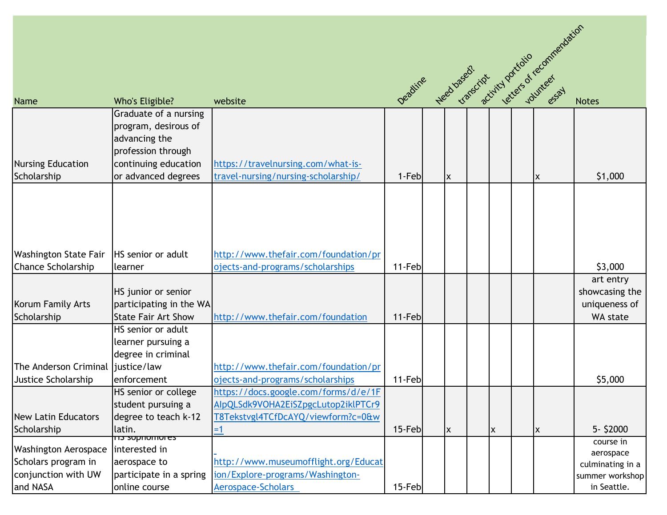|                                    |                                    |                                      |        |          |   |    | deadline read based? Criticist rations of recommendation |
|------------------------------------|------------------------------------|--------------------------------------|--------|----------|---|----|----------------------------------------------------------|
|                                    |                                    |                                      |        |          |   |    |                                                          |
|                                    |                                    |                                      |        |          |   |    |                                                          |
| <b>Name</b>                        | Who's Eligible?                    | website                              |        |          |   |    |                                                          |
|                                    | Graduate of a nursing              |                                      |        |          |   |    |                                                          |
|                                    | program, desirous of               |                                      |        |          |   |    |                                                          |
|                                    | advancing the                      |                                      |        |          |   |    |                                                          |
|                                    | profession through                 |                                      |        |          |   |    |                                                          |
| <b>Nursing Education</b>           | continuing education               | https://travelnursing.com/what-is-   |        |          |   |    |                                                          |
| Scholarship                        | or advanced degrees                | travel-nursing/nursing-scholarship/  | 1-Feb  | Ιx       |   | ΙX | \$1,000                                                  |
|                                    |                                    |                                      |        |          |   |    |                                                          |
|                                    |                                    |                                      |        |          |   |    |                                                          |
|                                    |                                    |                                      |        |          |   |    |                                                          |
|                                    |                                    |                                      |        |          |   |    |                                                          |
|                                    |                                    |                                      |        |          |   |    |                                                          |
| <b>Washington State Fair</b>       | <b>HS</b> senior or adult          | http://www.thefair.com/foundation/pr |        |          |   |    |                                                          |
| <b>Chance Scholarship</b>          | learner                            | ojects-and-programs/scholarships     | 11-Feb |          |   |    | \$3,000                                                  |
|                                    |                                    |                                      |        |          |   |    | art entry                                                |
|                                    | HS junior or senior                |                                      |        |          |   |    | showcasing the                                           |
| Korum Family Arts                  | participating in the WA            |                                      |        |          |   |    | uniqueness of                                            |
| Scholarship                        | <b>State Fair Art Show</b>         | http://www.thefair.com/foundation    | 11-Feb |          |   |    | WA state                                                 |
|                                    | HS senior or adult                 |                                      |        |          |   |    |                                                          |
|                                    | learner pursuing a                 |                                      |        |          |   |    |                                                          |
|                                    | degree in criminal                 |                                      |        |          |   |    |                                                          |
| The Anderson Criminal liustice/law |                                    | http://www.thefair.com/foundation/pr |        |          |   |    |                                                          |
| Justice Scholarship                | enforcement                        | ojects-and-programs/scholarships     | 11-Feb |          |   |    | \$5,000                                                  |
|                                    | HS senior or college               | https://docs.google.com/forms/d/e/1F |        |          |   |    |                                                          |
|                                    | student pursuing a                 | AlpQLSdk9VOHA2EiSZpgcLutop2iklPTCr9  |        |          |   |    |                                                          |
| <b>New Latin Educators</b>         | degree to teach k-12               | T8Tekstvgl4TCfDcAYQ/viewform?c=0&w   |        |          |   |    |                                                          |
| Scholarship                        | latin.<br><del>cophomores ch</del> | $=1$                                 | 15-Feb | <b>X</b> | X | X  | 5- \$2000                                                |
| <b>Washington Aerospace</b>        | interested in                      |                                      |        |          |   |    | course in                                                |
| Scholars program in                | aerospace to                       | http://www.museumofflight.org/Educat |        |          |   |    | aerospace                                                |
| conjunction with UW                | participate in a spring            | ion/Explore-programs/Washington-     |        |          |   |    | culminating in a<br>summer workshop                      |
| and NASA                           | online course                      | Aerospace-Scholars                   | 15-Feb |          |   |    | in Seattle.                                              |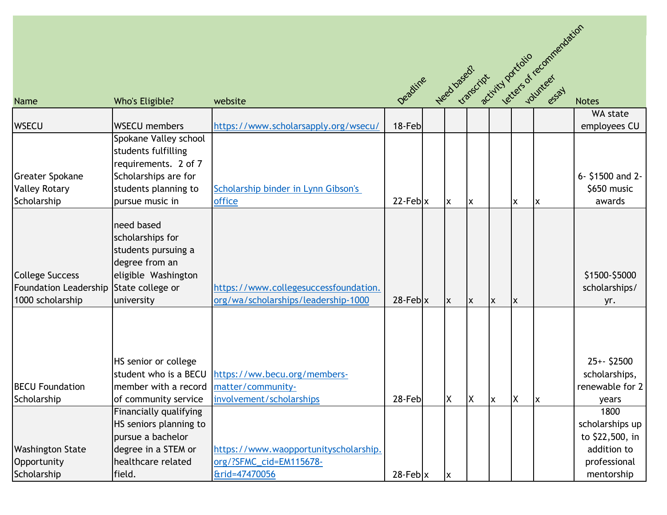| Name                                                                                 | Who's Eligible?                                                                                                              | website                                                                           |                           |     |    |              |          |    | Deadline Head based. Cristing particular equine and detain                              |
|--------------------------------------------------------------------------------------|------------------------------------------------------------------------------------------------------------------------------|-----------------------------------------------------------------------------------|---------------------------|-----|----|--------------|----------|----|-----------------------------------------------------------------------------------------|
| <b>WSECU</b>                                                                         | <b>WSECU</b> members                                                                                                         | https://www.scholarsapply.org/wsecu/                                              |                           |     |    |              |          |    | WA state<br>employees CU                                                                |
|                                                                                      | Spokane Valley school<br>students fulfilling<br>requirements. 2 of 7                                                         |                                                                                   |                           |     |    |              |          |    |                                                                                         |
| <b>Greater Spokane</b><br><b>Valley Rotary</b><br>Scholarship                        | Scholarships are for<br>students planning to<br>pursue music in                                                              | Scholarship binder in Lynn Gibson's<br>office                                     | $22$ -Feb $\vert x \vert$ | X   | ΙX |              | X        | ΙX | 6- \$1500 and 2-<br>\$650 music<br>awards                                               |
| <b>College Success</b><br>Foundation Leadership State college or<br>1000 scholarship | need based<br>scholarships for<br>students pursuing a<br>degree from an<br>eligible Washington<br>university                 | https://www.collegesuccessfoundation.<br>org/wa/scholarships/leadership-1000      | $28$ -Feb $\vert x \vert$ | lx. | X  | X            | <b>X</b> |    | \$1500-\$5000<br>scholarships/<br>yr.                                                   |
| <b>BECU Foundation</b><br>Scholarship                                                | HS senior or college<br>student who is a BECU<br>member with a record   matter/community-<br>of community service            | https://ww.becu.org/members-<br>involvement/scholarships                          | 28-Feb                    | Χ   | ΙX | $\mathsf{x}$ | ΙX       | X  | $25+-$ \$2500<br>scholarships,<br>renewable for 2<br>years                              |
| <b>Washington State</b><br>Opportunity<br>Scholarship                                | Financially qualifying<br>HS seniors planning to<br>pursue a bachelor<br>degree in a STEM or<br>healthcare related<br>field. | https://www.waopportunityscholarship.<br>org/?SFMC_cid=EM115678-<br>&rid=47470056 | $28$ -Feb $\vert x \vert$ | X   |    |              |          |    | 1800<br>scholarships up<br>to \$22,500, in<br>addition to<br>professional<br>mentorship |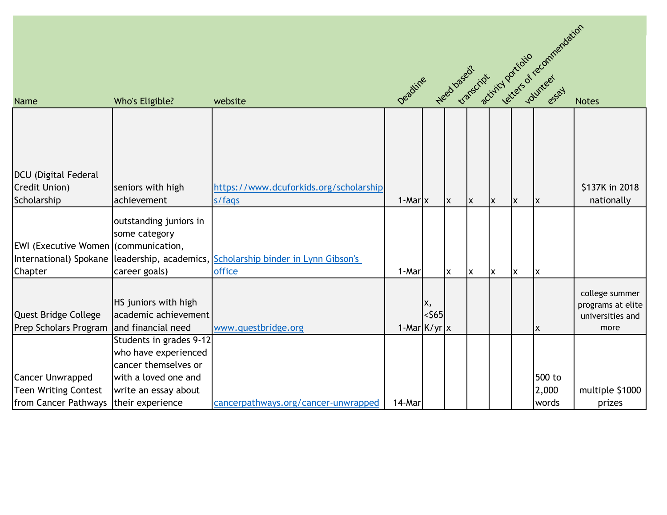|                                             |                                               |                                        |                       |          |     |              |                           |    |          | Deadline Reed based? Critics portfolio econimentation |
|---------------------------------------------|-----------------------------------------------|----------------------------------------|-----------------------|----------|-----|--------------|---------------------------|----|----------|-------------------------------------------------------|
| <b>Name</b>                                 | Who's Eligible?                               | website                                |                       |          |     |              |                           |    |          |                                                       |
|                                             |                                               |                                        |                       |          |     |              |                           |    |          |                                                       |
|                                             |                                               |                                        |                       |          |     |              |                           |    |          |                                                       |
|                                             |                                               |                                        |                       |          |     |              |                           |    |          |                                                       |
| DCU (Digital Federal                        |                                               |                                        |                       |          |     |              |                           |    |          |                                                       |
| Credit Union)                               | seniors with high                             | https://www.dcuforkids.org/scholarship |                       |          |     |              |                           |    |          | \$137K in 2018                                        |
| Scholarship                                 | achievement                                   | s/faqs                                 | $1$ -Mar $\mathbf{x}$ |          | Ix. | $\mathsf{x}$ | $\boldsymbol{\mathsf{x}}$ | ΙX | <b>X</b> | nationally                                            |
|                                             | outstanding juniors in                        |                                        |                       |          |     |              |                           |    |          |                                                       |
|                                             | some category                                 |                                        |                       |          |     |              |                           |    |          |                                                       |
| <b>EWI</b> (Executive Women (communication, |                                               |                                        |                       |          |     |              |                           |    |          |                                                       |
|                                             | International) Spokane leadership, academics, | Scholarship binder in Lynn Gibson's    |                       |          |     |              |                           |    |          |                                                       |
| Chapter                                     | career goals)                                 | office                                 | 1-Mar                 |          | X   | <b>x</b>     | $\pmb{\times}$            | Ιx | X        |                                                       |
|                                             |                                               |                                        |                       |          |     |              |                           |    |          | college summer                                        |
|                                             | HS juniors with high                          |                                        |                       | X,       |     |              |                           |    |          | programs at elite                                     |
| Quest Bridge College                        | academic achievement                          |                                        |                       | $<$ \$65 |     |              |                           |    |          | universities and                                      |
| Prep Scholars Program                       | and financial need                            | www.questbridge.org                    | 1-Mar $K/yr$ x        |          |     |              |                           |    | ΙX       | more                                                  |
|                                             | Students in grades 9-12                       |                                        |                       |          |     |              |                           |    |          |                                                       |
|                                             | who have experienced                          |                                        |                       |          |     |              |                           |    |          |                                                       |
|                                             | cancer themselves or                          |                                        |                       |          |     |              |                           |    |          |                                                       |
| <b>Cancer Unwrapped</b>                     | with a loved one and                          |                                        |                       |          |     |              |                           |    | 500 to   |                                                       |
| <b>Teen Writing Contest</b>                 | write an essay about                          |                                        |                       |          |     |              |                           |    | 2,000    | multiple \$1000                                       |
| from Cancer Pathways                        | their experience                              | cancerpathways.org/cancer-unwrapped    | 14-Mar                |          |     |              |                           |    | words    | prizes                                                |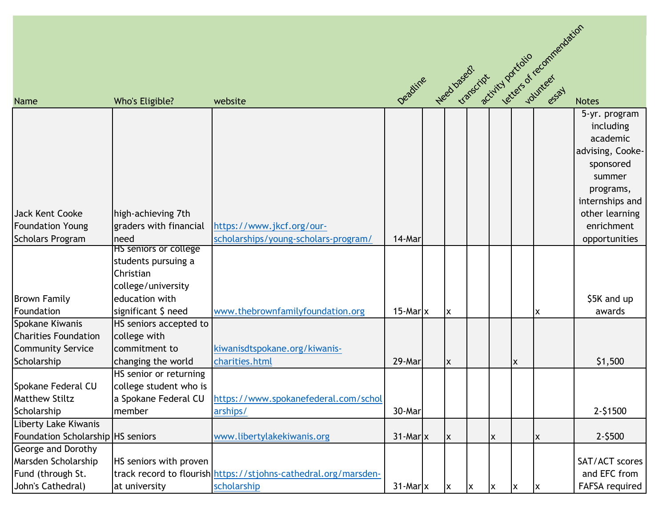|                                   |                                               |                                                                 |                                                |   |   |                           |   | letters of recommendation |                              |
|-----------------------------------|-----------------------------------------------|-----------------------------------------------------------------|------------------------------------------------|---|---|---------------------------|---|---------------------------|------------------------------|
|                                   |                                               |                                                                 |                                                |   |   |                           |   |                           |                              |
| <b>Name</b>                       | Who's Eligible?                               | website                                                         | Deadline Heed based? Critical portation recipe |   |   |                           |   |                           | <b>Notes</b>                 |
|                                   |                                               |                                                                 |                                                |   |   |                           |   |                           | 5-yr. program                |
|                                   |                                               |                                                                 |                                                |   |   |                           |   |                           | including                    |
|                                   |                                               |                                                                 |                                                |   |   |                           |   |                           | academic                     |
|                                   |                                               |                                                                 |                                                |   |   |                           |   |                           | advising, Cooke-             |
|                                   |                                               |                                                                 |                                                |   |   |                           |   |                           | sponsored                    |
|                                   |                                               |                                                                 |                                                |   |   |                           |   |                           | summer                       |
|                                   |                                               |                                                                 |                                                |   |   |                           |   |                           | programs,<br>internships and |
| Jack Kent Cooke                   | high-achieving 7th                            |                                                                 |                                                |   |   |                           |   |                           | other learning               |
| <b>Foundation Young</b>           | graders with financial                        | https://www.jkcf.org/our-                                       |                                                |   |   |                           |   |                           | enrichment                   |
| <b>Scholars Program</b>           | need                                          | scholarships/young-scholars-program/                            | 14-Mar                                         |   |   |                           |   |                           | opportunities                |
|                                   | HS seniors or college                         |                                                                 |                                                |   |   |                           |   |                           |                              |
|                                   | students pursuing a                           |                                                                 |                                                |   |   |                           |   |                           |                              |
|                                   | Christian                                     |                                                                 |                                                |   |   |                           |   |                           |                              |
|                                   | college/university                            |                                                                 |                                                |   |   |                           |   |                           |                              |
| <b>Brown Family</b>               | education with                                |                                                                 |                                                |   |   |                           |   |                           | \$5K and up                  |
| Foundation<br>Spokane Kiwanis     | significant \$ need<br>HS seniors accepted to | www.thebrownfamilyfoundation.org                                | $15$ -Mar $\vert x \vert$                      | X |   |                           |   | x                         | awards                       |
| <b>Charities Foundation</b>       | college with                                  |                                                                 |                                                |   |   |                           |   |                           |                              |
| <b>Community Service</b>          | commitment to                                 | kiwanisdtspokane.org/kiwanis-                                   |                                                |   |   |                           |   |                           |                              |
| Scholarship                       | changing the world                            | charities.html                                                  | 29-Mar                                         | X |   |                           | X |                           | \$1,500                      |
|                                   | HS senior or returning                        |                                                                 |                                                |   |   |                           |   |                           |                              |
| Spokane Federal CU                | college student who is                        |                                                                 |                                                |   |   |                           |   |                           |                              |
| <b>Matthew Stiltz</b>             |                                               | a Spokane Federal CU   https://www.spokanefederal.com/schol     |                                                |   |   |                           |   |                           |                              |
| Scholarship                       | member                                        | arships/                                                        | 30-Mar                                         |   |   |                           |   |                           | 2-\$1500                     |
| Liberty Lake Kiwanis              |                                               |                                                                 |                                                |   |   |                           |   |                           |                              |
| Foundation Scholarship HS seniors |                                               | www.libertylakekiwanis.org                                      | $31$ -Mar $\vert x \vert$                      | X |   | $\boldsymbol{\mathsf{x}}$ |   | X                         | $2 - $500$                   |
| George and Dorothy                |                                               |                                                                 |                                                |   |   |                           |   |                           |                              |
| Marsden Scholarship               | HS seniors with proven                        |                                                                 |                                                |   |   |                           |   |                           | SAT/ACT scores               |
| Fund (through St.                 |                                               | track record to flourish https://stjohns-cathedral.org/marsden- |                                                |   |   |                           |   |                           | and EFC from                 |
| John's Cathedral)                 | at university                                 | scholarship                                                     | $31$ -Mar $\vert x \vert$                      | X | x | <b>x</b>                  | X | ΙX                        | FAFSA required               |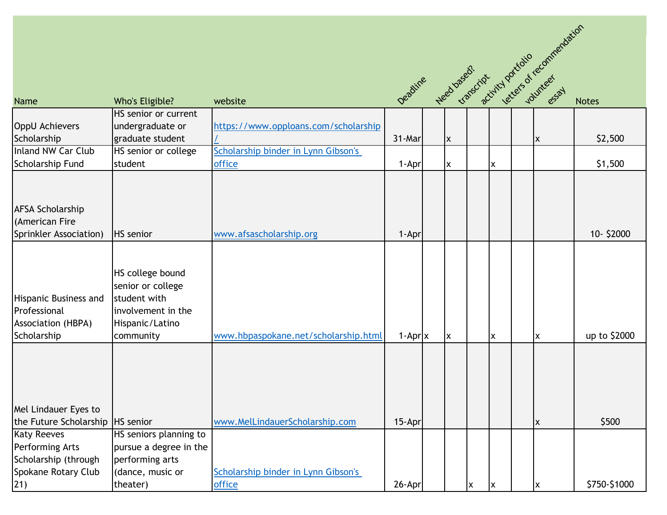|                                                                                   |                                                                                                             |                                      | Deadline Heed based? Civil porchailo commentarion |  |                |   |   |  |   |              |
|-----------------------------------------------------------------------------------|-------------------------------------------------------------------------------------------------------------|--------------------------------------|---------------------------------------------------|--|----------------|---|---|--|---|--------------|
|                                                                                   |                                                                                                             |                                      |                                                   |  |                |   |   |  |   |              |
| <b>Name</b>                                                                       | Who's Eligible?                                                                                             | website                              |                                                   |  |                |   |   |  |   |              |
|                                                                                   | HS senior or current                                                                                        |                                      |                                                   |  |                |   |   |  |   |              |
| <b>OppU Achievers</b>                                                             | undergraduate or                                                                                            | https://www.opploans.com/scholarship |                                                   |  |                |   |   |  |   |              |
| Scholarship                                                                       | graduate student                                                                                            |                                      | 31-Mar                                            |  | $\pmb{\times}$ |   |   |  | X | \$2,500      |
| Inland NW Car Club                                                                | HS senior or college                                                                                        | Scholarship binder in Lynn Gibson's  |                                                   |  |                |   |   |  |   |              |
| <b>Scholarship Fund</b>                                                           | student                                                                                                     | office                               | 1-Apr                                             |  | X              |   | X |  |   | \$1,500      |
| <b>AFSA Scholarship</b><br>(American Fire<br>Sprinkler Association)               | <b>HS</b> senior                                                                                            | www.afsascholarship.org              | 1-Apr                                             |  |                |   |   |  |   | 10-\$2000    |
| <b>Hispanic Business and</b><br>Professional<br>Association (HBPA)<br>Scholarship | HS college bound<br>senior or college<br>student with<br>involvement in the<br>Hispanic/Latino<br>community | www.hbpaspokane.net/scholarship.html | $1-Apr$ x                                         |  | X              |   | X |  | X | up to \$2000 |
| Mel Lindauer Eyes to<br>the Future Scholarship   HS senior                        |                                                                                                             | www.MelLindauerScholarship.com       | 15-Apr                                            |  |                |   |   |  | X | \$500        |
| <b>Katy Reeves</b>                                                                | HS seniors planning to                                                                                      |                                      |                                                   |  |                |   |   |  |   |              |
| <b>Performing Arts</b>                                                            | pursue a degree in the                                                                                      |                                      |                                                   |  |                |   |   |  |   |              |
| Scholarship (through                                                              | performing arts                                                                                             |                                      |                                                   |  |                |   |   |  |   |              |
| Spokane Rotary Club                                                               | (dance, music or                                                                                            | Scholarship binder in Lynn Gibson's  |                                                   |  |                |   |   |  |   |              |
| 21)                                                                               | theater)                                                                                                    | office                               | 26-Apr                                            |  |                | X | X |  | X | \$750-\$1000 |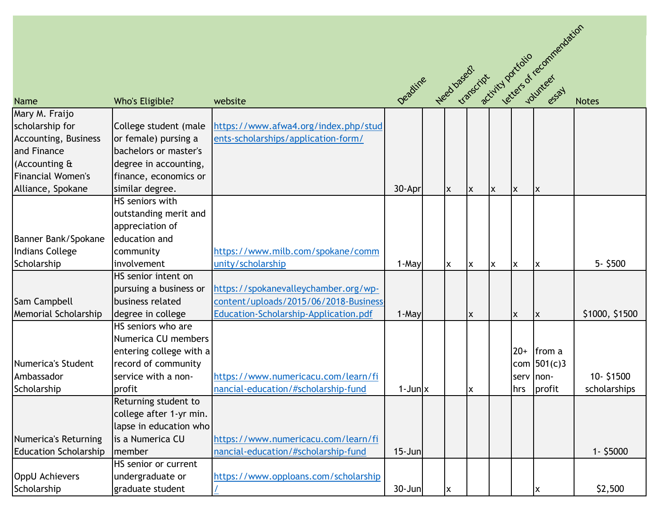|                              |                         |                                       |                       |     |                |   |       |               | Deadline Heed based! You particip or recommendation |
|------------------------------|-------------------------|---------------------------------------|-----------------------|-----|----------------|---|-------|---------------|-----------------------------------------------------|
|                              |                         |                                       |                       |     |                |   |       |               |                                                     |
|                              |                         |                                       |                       |     |                |   |       |               |                                                     |
| Name                         | Who's Eligible?         | website                               |                       |     |                |   |       |               |                                                     |
| Mary M. Fraijo               |                         |                                       |                       |     |                |   |       |               |                                                     |
| scholarship for              | College student (male   | https://www.afwa4.org/index.php/stud  |                       |     |                |   |       |               |                                                     |
| <b>Accounting, Business</b>  | or female) pursing a    | ents-scholarships/application-form/   |                       |     |                |   |       |               |                                                     |
| and Finance                  | bachelors or master's   |                                       |                       |     |                |   |       |               |                                                     |
| (Accounting &                | degree in accounting,   |                                       |                       |     |                |   |       |               |                                                     |
| Financial Women's            | finance, economics or   |                                       |                       |     |                |   |       |               |                                                     |
| Alliance, Spokane            | similar degree.         |                                       | 30-Apr                | lx. | X              | X | X     | ΙX            |                                                     |
|                              | HS seniors with         |                                       |                       |     |                |   |       |               |                                                     |
|                              | outstanding merit and   |                                       |                       |     |                |   |       |               |                                                     |
|                              | appreciation of         |                                       |                       |     |                |   |       |               |                                                     |
| Banner Bank/Spokane          | education and           |                                       |                       |     |                |   |       |               |                                                     |
| <b>Indians College</b>       | community               | https://www.milb.com/spokane/comm     |                       |     |                |   |       |               |                                                     |
| Scholarship                  | involvement             | unity/scholarship                     | 1-May                 | lx. | $\pmb{\times}$ | X | X     | ΙX            | $5 - $500$                                          |
|                              | HS senior intent on     |                                       |                       |     |                |   |       |               |                                                     |
|                              | pursuing a business or  | https://spokanevalleychamber.org/wp-  |                       |     |                |   |       |               |                                                     |
| Sam Campbell                 | business related        | content/uploads/2015/06/2018-Business |                       |     |                |   |       |               |                                                     |
| Memorial Scholarship         | degree in college       | Education-Scholarship-Application.pdf | 1-May                 |     | X              |   | X     | X             | \$1000, \$1500                                      |
|                              | HS seniors who are      |                                       |                       |     |                |   |       |               |                                                     |
|                              | Numerica CU members     |                                       |                       |     |                |   |       |               |                                                     |
|                              | entering college with a |                                       |                       |     |                |   | $20+$ | from a        |                                                     |
| Numerica's Student           | record of community     |                                       |                       |     |                |   |       | com $501(c)3$ |                                                     |
| Ambassador                   | service with a non-     | https://www.numericacu.com/learn/fi   |                       |     |                |   |       | serv non-     | 10-\$1500                                           |
| Scholarship                  | profit                  | nancial-education/#scholarship-fund   | $1$ -Jun $\mathbf{x}$ |     | X              |   | hrs   | profit        | scholarships                                        |
|                              | Returning student to    |                                       |                       |     |                |   |       |               |                                                     |
|                              | college after 1-yr min. |                                       |                       |     |                |   |       |               |                                                     |
|                              | lapse in education who  |                                       |                       |     |                |   |       |               |                                                     |
| Numerica's Returning         | is a Numerica CU        | https://www.numericacu.com/learn/fi   |                       |     |                |   |       |               |                                                     |
| <b>Education Scholarship</b> | <b>I</b> member         | nancial-education/#scholarship-fund   | $15 - Jun$            |     |                |   |       |               | $1 - $5000$                                         |
|                              | HS senior or current    |                                       |                       |     |                |   |       |               |                                                     |
| <b>OppU Achievers</b>        | undergraduate or        | https://www.opploans.com/scholarship  |                       |     |                |   |       |               |                                                     |
| Scholarship                  | graduate student        |                                       | $30 - Jun$            | lx. |                |   |       | X             | \$2,500                                             |